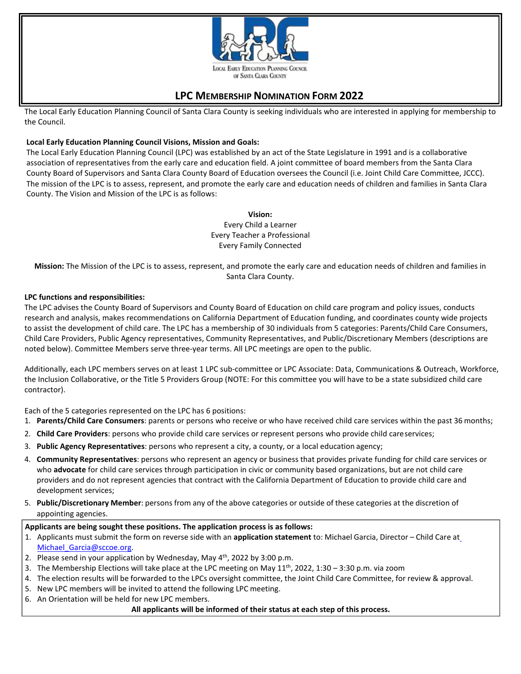

# **LPC MEMBERSHIP NOMINATION FORM 2022**

The Local Early Education Planning Council of Santa Clara County is seeking individuals who are interested in applying for membership to the Council.

## **Local Early Education Planning Council Visions, Mission and Goals:**

The Local Early Education Planning Council (LPC) was established by an act of the State Legislature in 1991 and is a collaborative association of representatives from the early care and education field. A joint committee of board members from the Santa Clara County Board of Supervisors and Santa Clara County Board of Education oversees the Council (i.e. Joint Child Care Committee, JCCC). The mission of the LPC is to assess, represent, and promote the early care and education needs of children and families in Santa Clara County. The Vision and Mission of the LPC is as follows:

#### **Vision:**

Every Child a Learner Every Teacher a Professional Every Family Connected

**Mission:** The Mission of the LPC is to assess, represent, and promote the early care and education needs of children and families in Santa Clara County.

## **LPC functions and responsibilities:**

The LPC advises the County Board of Supervisors and County Board of Education on child care program and policy issues, conducts research and analysis, makes recommendations on California Department of Education funding, and coordinates county wide projects to assist the development of child care. The LPC has a membership of 30 individuals from 5 categories: Parents/Child Care Consumers, Child Care Providers, Public Agency representatives, Community Representatives, and Public/Discretionary Members (descriptions are noted below). Committee Members serve three-year terms. All LPC meetings are open to the public.

Additionally, each LPC members serves on at least 1 LPC sub-committee or LPC Associate: Data, Communications & Outreach, Workforce, the Inclusion Collaborative, or the Title 5 Providers Group (NOTE: For this committee you will have to be a state subsidized child care contractor).

Each of the 5 categories represented on the LPC has 6 positions:

- 1. **Parents/Child Care Consumers**: parents or persons who receive or who have received child care services within the past 36 months;
- 2. **Child Care Providers**: persons who provide child care services or represent persons who provide child careservices;
- 3. **Public Agency Representatives**: persons who represent a city, a county, or a local education agency;
- 4. **Community Representatives**: persons who represent an agency or business that provides private funding for child care services or who **advocate** for child care services through participation in civic or community based organizations, but are not child care providers and do not represent agencies that contract with the California Department of Education to provide child care and development services;
- 5. **Public/Discretionary Member**: persons from any of the above categories or outside of these categories at the discretion of appointing agencies.

## **Applicants are being sought these positions. The application process is as follows:**

- 1. Applicants must submit the form on reverse side with an **application statement** to: Michael Garcia, Director Child Care at Michael Garcia@sccoe.org.
- 2. Please send in your application by Wednesday, May  $4<sup>th</sup>$ , 2022 by 3:00 p.m.
- 3. The Membership Elections will take place at the LPC meeting on May  $11<sup>th</sup>$ , 2022, 1:30 3:30 p.m. via zoom
- 4. The election results will be forwarded to the LPCs oversight committee, the Joint Child Care Committee, for review & approval.
- 5. New LPC members will be invited to attend the following LPC meeting.
- 6. An Orientation will be held for new LPC members.

**All applicants will be informed of their status at each step of this process.**